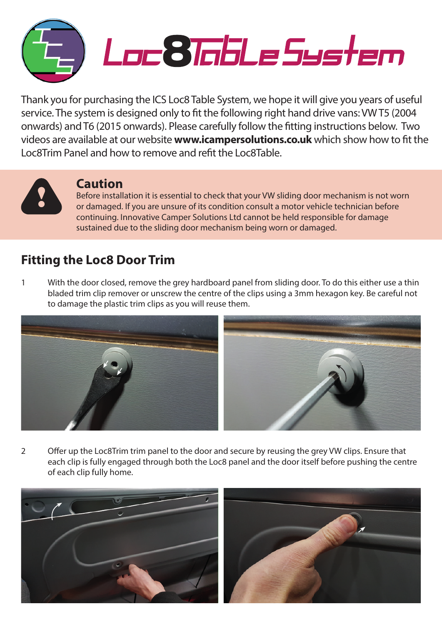

Thank you for purchasing the ICS Loc8 Table System, we hope it will give you years of useful service. The system is designed only to fit the following right hand drive vans: VW T5 (2004 onwards) and T6 (2015 onwards). Please carefully follow the fitting instructions below. Two videos are available at our website **www.icampersolutions.co.uk** which show how to fit the Loc8Trim Panel and how to remove and refit the Loc8Table.



## **Caution**

Before installation it is essential to check that your VW sliding door mechanism is not worn or damaged. If you are unsure of its condition consult a motor vehicle technician before continuing. Innovative Camper Solutions Ltd cannot be held responsible for damage sustained due to the sliding door mechanism being worn or damaged.

## **Fitting the Loc8 Door Trim**

1 With the door closed, remove the grey hardboard panel from sliding door. To do this either use a thin bladed trim clip remover or unscrew the centre of the clips using a 3mm hexagon key. Be careful not to damage the plastic trim clips as you will reuse them.



2 Offer up the Loc8Trim trim panel to the door and secure by reusing the grey VW clips. Ensure that each clip is fully engaged through both the Loc8 panel and the door itself before pushing the centre of each clip fully home.